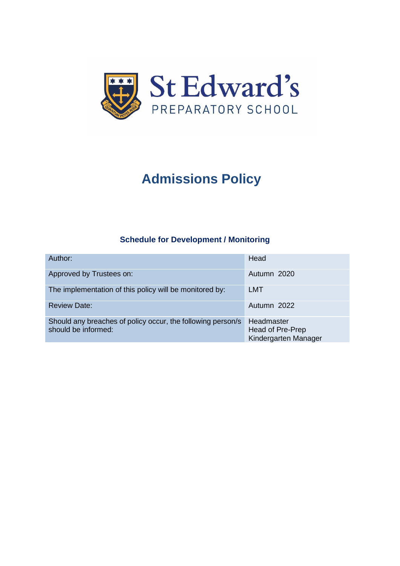

# **Admissions Policy**

# **Schedule for Development / Monitoring**

| Author:                                                                            | Head                                                   |
|------------------------------------------------------------------------------------|--------------------------------------------------------|
| Approved by Trustees on:                                                           | Autumn 2020                                            |
| The implementation of this policy will be monitored by:                            | LMT                                                    |
| <b>Review Date:</b>                                                                | Autumn 2022                                            |
| Should any breaches of policy occur, the following person/s<br>should be informed: | Headmaster<br>Head of Pre-Prep<br>Kindergarten Manager |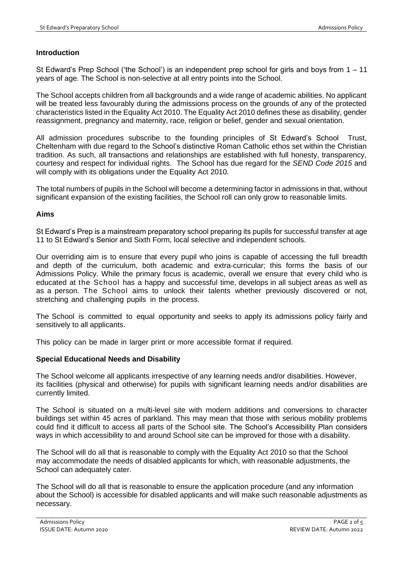## **Introduction**

St Edward's Prep School ('the School') is an independent prep school for girls and boys from 1 – 11 years of age. The School is non-selective at all entry points into the School.

The School accepts children from all backgrounds and a wide range of academic abilities. No applicant will be treated less favourably during the admissions process on the grounds of any of the protected characteristics listed in the Equality Act 2010. The Equality Act 2010 defines these as disability, gender reassignment, pregnancy and maternity, race, religion or belief, gender and sexual orientation.

All admission procedures subscribe to the founding principles of St Edward's School Trust, Cheltenham with due regard to the School's distinctive Roman Catholic ethos set within the Christian tradition. As such, all transactions and relationships are established with full honesty, transparency, courtesy and respect for individual rights. The School has due regard for the *SEND Code 2015* and will comply with its obligations under the Equality Act 2010.

The total numbers of pupils in the School will become a determining factor in admissions in that, without significant expansion of the existing facilities, the School roll can only grow to reasonable limits.

## **Aims**

St Edward's Prep is a mainstream preparatory school preparing its pupils for successful transfer at age 11 to St Edward's Senior and Sixth Form, local selective and independent schools.

Our overriding aim is to ensure that every pupil who joins is capable of accessing the full breadth and depth of the curriculum, both academic and extra-curricular; this forms the basis of our Admissions Policy. While the primary focus is academic, overall we ensure that every child who is educated at the School has a happy and successful time, develops in all subject areas as well as as a person. The School aims to unlock their talents whether previously discovered or not, stretching and challenging pupils in the process.

The School is committed to equal opportunity and seeks to apply its admissions policy fairly and sensitively to all applicants.

This policy can be made in larger print or more accessible format if required.

## **Special Educational Needs and Disability**

The School welcome all applicants irrespective of any learning needs and/or disabilities. However, its facilities (physical and otherwise) for pupils with significant learning needs and/or disabilities are currently limited.

The School is situated on a multi-level site with modern additions and conversions to character buildings set within 45 acres of parkland. This may mean that those with serious mobility problems could find it difficult to access all parts of the School site. The School's Accessibility Plan considers ways in which accessibility to and around School site can be improved for those with a disability.

The School will do all that is reasonable to comply with the Equality Act 2010 so that the School may accommodate the needs of disabled applicants for which, with reasonable adjustments, the School can adequately cater.

The School will do all that is reasonable to ensure the application procedure (and any information about the School) is accessible for disabled applicants and will make such reasonable adjustments as necessary.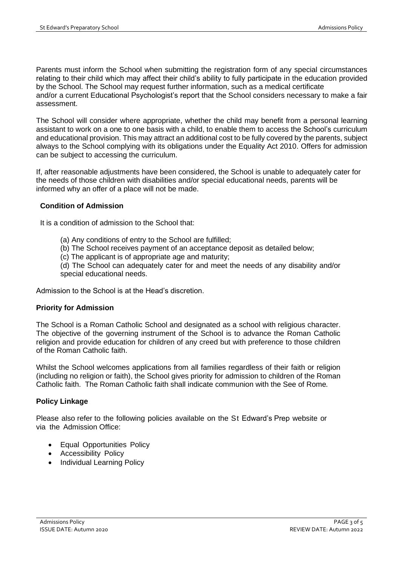Parents must inform the School when submitting the registration form of any special circumstances relating to their child which may affect their child's ability to fully participate in the education provided by the School. The School may request further information, such as a medical certificate and/or a current Educational Psychologist's report that the School considers necessary to make a fair assessment.

The School will consider where appropriate, whether the child may benefit from a personal learning assistant to work on a one to one basis with a child, to enable them to access the School's curriculum and educational provision. This may attract an additional cost to be fully covered by the parents, subject always to the School complying with its obligations under the Equality Act 2010. Offers for admission can be subject to accessing the curriculum.

If, after reasonable adjustments have been considered, the School is unable to adequately cater for the needs of those children with disabilities and/or special educational needs, parents will be informed why an offer of a place will not be made.

## **Condition of Admission**

It is a condition of admission to the School that:

- (a) Any conditions of entry to the School are fulfilled;
- (b) The School receives payment of an acceptance deposit as detailed below;
- (c) The applicant is of appropriate age and maturity;

(d) The School can adequately cater for and meet the needs of any disability and/or special educational needs.

Admission to the School is at the Head's discretion.

# **Priority for Admission**

The School is a Roman Catholic School and designated as a school with religious character. The objective of the governing instrument of the School is to advance the Roman Catholic religion and provide education for children of any creed but with preference to those children of the Roman Catholic faith.

Whilst the School welcomes applications from all families regardless of their faith or religion (including no religion or faith), the School gives priority for admission to children of the Roman Catholic faith. The Roman Catholic faith shall indicate communion with the See of Rome*.*

# **Policy Linkage**

Please also refer to the following policies available on the St Edward's Prep website or via the Admission Office:

- Equal Opportunities Policy
- Accessibility Policy
- Individual Learning Policy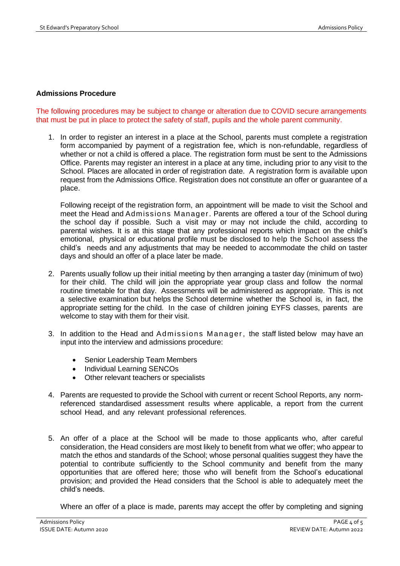## **Admissions Procedure**

The following procedures may be subject to change or alteration due to COVID secure arrangements that must be put in place to protect the safety of staff, pupils and the whole parent community.

1. In order to register an interest in a place at the School, parents must complete a registration form accompanied by payment of a registration fee, which is non-refundable, regardless of whether or not a child is offered a place. The registration form must be sent to the Admissions Office. Parents may register an interest in a place at any time, including prior to any visit to the School. Places are allocated in order of registration date. A registration form is available upon request from the Admissions Office. Registration does not constitute an offer or guarantee of a place.

Following receipt of the registration form, an appointment will be made to visit the School and meet the Head and Admissions Manager. Parents are offered a tour of the School during the school day if possible. Such a visit may or may not include the child, according to parental wishes. It is at this stage that any professional reports which impact on the child's emotional, physical or educational profile must be disclosed to help the School assess the child's needs and any adjustments that may be needed to accommodate the child on taster days and should an offer of a place later be made.

- 2. Parents usually follow up their initial meeting by then arranging a taster day (minimum of two) for their child. The child will join the appropriate year group class and follow the normal routine timetable for that day. Assessments will be administered as appropriate. This is not a selective examination but helps the School determine whether the School is, in fact, the appropriate setting for the child. In the case of children joining EYFS classes, parents are welcome to stay with them for their visit.
- 3. In addition to the Head and Admissions Manager, the staff listed below may have an input into the interview and admissions procedure:
	- Senior Leadership Team Members
	- Individual Learning SENCOs
	- Other relevant teachers or specialists
- 4. Parents are requested to provide the School with current or recent School Reports, any normreferenced standardised assessment results where applicable, a report from the current school Head, and any relevant professional references.
- 5. An offer of a place at the School will be made to those applicants who, after careful consideration, the Head considers are most likely to benefit from what we offer; who appear to match the ethos and standards of the School; whose personal qualities suggest they have the potential to contribute sufficiently to the School community and benefit from the many opportunities that are offered here; those who will benefit from the School's educational provision; and provided the Head considers that the School is able to adequately meet the child's needs.

Where an offer of a place is made, parents may accept the offer by completing and signing